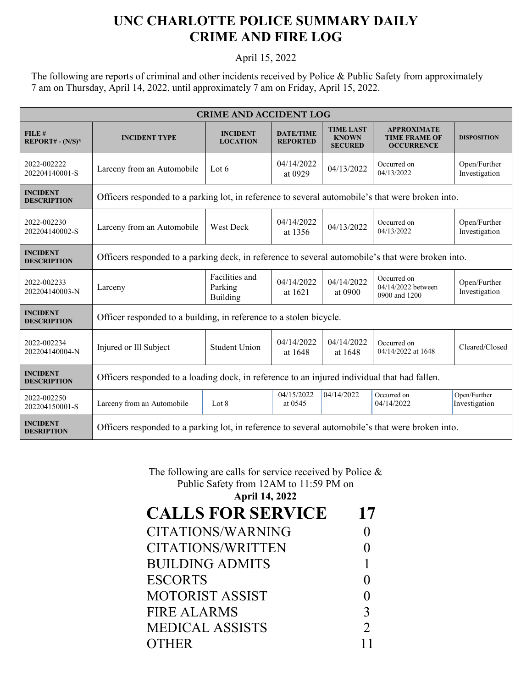## **UNC CHARLOTTE POLICE SUMMARY DAILY CRIME AND FIRE LOG**

## April 15, 2022

The following are reports of criminal and other incidents received by Police & Public Safety from approximately 7 am on Thursday, April 14, 2022, until approximately 7 am on Friday, April 15, 2022.

| <b>CRIME AND ACCIDENT LOG</b>         |                                                                                                   |                                              |                                     |                                                    |                                                                 |                               |  |
|---------------------------------------|---------------------------------------------------------------------------------------------------|----------------------------------------------|-------------------------------------|----------------------------------------------------|-----------------------------------------------------------------|-------------------------------|--|
| FILE#<br>$REPORT# - (N/S)*$           | <b>INCIDENT TYPE</b>                                                                              | <b>INCIDENT</b><br><b>LOCATION</b>           | <b>DATE/TIME</b><br><b>REPORTED</b> | <b>TIME LAST</b><br><b>KNOWN</b><br><b>SECURED</b> | <b>APPROXIMATE</b><br><b>TIME FRAME OF</b><br><b>OCCURRENCE</b> | <b>DISPOSITION</b>            |  |
| 2022-002222<br>202204140001-S         | Larceny from an Automobile                                                                        | Lot $6$                                      | 04/14/2022<br>at 0929               | 04/13/2022                                         | Occurred on<br>04/13/2022                                       | Open/Further<br>Investigation |  |
| <b>INCIDENT</b><br><b>DESCRIPTION</b> | Officers responded to a parking lot, in reference to several automobile's that were broken into.  |                                              |                                     |                                                    |                                                                 |                               |  |
| 2022-002230<br>202204140002-S         | Larceny from an Automobile                                                                        | <b>West Deck</b>                             | 04/14/2022<br>at 1356               | 04/13/2022                                         | Occurred on<br>04/13/2022                                       | Open/Further<br>Investigation |  |
| <b>INCIDENT</b><br><b>DESCRIPTION</b> | Officers responded to a parking deck, in reference to several automobile's that were broken into. |                                              |                                     |                                                    |                                                                 |                               |  |
| 2022-002233<br>202204140003-N         | Larceny                                                                                           | Facilities and<br>Parking<br><b>Building</b> | 04/14/2022<br>at 1621               | 04/14/2022<br>at 0900                              | Occurred on<br>04/14/2022 between<br>0900 and 1200              | Open/Further<br>Investigation |  |
| <b>INCIDENT</b><br><b>DESCRIPTION</b> | Officer responded to a building, in reference to a stolen bicycle.                                |                                              |                                     |                                                    |                                                                 |                               |  |
| 2022-002234<br>202204140004-N         | Injured or Ill Subject                                                                            | <b>Student Union</b>                         | 04/14/2022<br>at 1648               | 04/14/2022<br>at 1648                              | Occurred on<br>04/14/2022 at 1648                               | Cleared/Closed                |  |
| <b>INCIDENT</b><br><b>DESCRIPTION</b> | Officers responded to a loading dock, in reference to an injured individual that had fallen.      |                                              |                                     |                                                    |                                                                 |                               |  |
| 2022-002250<br>202204150001-S         | Larceny from an Automobile                                                                        | Lot 8                                        | 04/15/2022<br>at 0545               | 04/14/2022                                         | Occurred on<br>04/14/2022                                       | Open/Further<br>Investigation |  |
| <b>INCIDENT</b><br><b>DESRIPTION</b>  | Officers responded to a parking lot, in reference to several automobile's that were broken into.  |                                              |                                     |                                                    |                                                                 |                               |  |

## The following are calls for service received by Police & Public Safety from 12AM to 11:59 PM on

| <b>April 14, 2022</b>    |                |
|--------------------------|----------------|
| <b>CALLS FOR SERVICE</b> | 17             |
| CITATIONS/WARNING        |                |
| CITATIONS/WRITTEN        | 0              |
| <b>BUILDING ADMITS</b>   | 1              |
| <b>ESCORTS</b>           |                |
| MOTORIST ASSIST          | 0              |
| FIRE ALARMS              | 3              |
| <b>MEDICAL ASSISTS</b>   | $\overline{2}$ |
| <b>OTHER</b>             |                |
|                          |                |